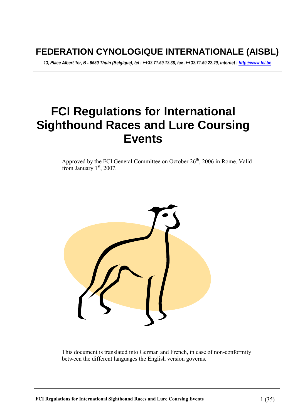# **FEDERATION CYNOLOGIQUE INTERNATIONALE (AISBL)**

*13, Place Albert 1er, B - 6530 Thuin (Belgique), tel : ++32.71.59.12.38, fax :++32.71.59.22.29, internet : http://www.fci.be* 

# **FCI Regulations for International Sighthound Races and Lure Coursing Events**

Approved by the FCI General Committee on October  $26<sup>th</sup>$ , 2006 in Rome. Valid from January  $1<sup>st</sup>$ , 2007.



This document is translated into German and French, in case of non-conformity between the different languages the English version governs.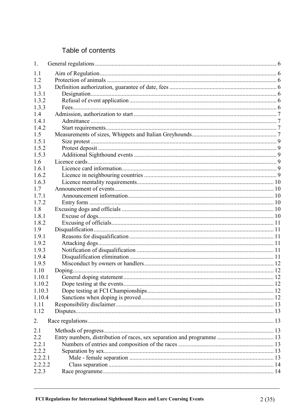# Table of contents

| 1.      |  |
|---------|--|
| 1.1     |  |
| 1.2     |  |
| 1.3     |  |
| 1.3.1   |  |
| 1.3.2   |  |
| 1.3.3   |  |
| 1.4     |  |
| 141     |  |
| 1.4.2   |  |
| 1.5     |  |
| 1.5.1   |  |
| 1.5.2   |  |
| 1.5.3   |  |
| 1.6     |  |
| 1.6.1   |  |
| 1.6.2   |  |
| 1.6.3   |  |
| 1.7     |  |
| 1.7.1   |  |
| 1.7.2   |  |
| 1.8     |  |
| 1.8.1   |  |
| 1.8.2   |  |
| 1.9     |  |
| 1.9.1   |  |
| 1.9.2   |  |
| 1.9.3   |  |
| 1.9.4   |  |
| 1.9.5   |  |
| 1.10    |  |
| 1.10.1  |  |
| 1.10.2  |  |
| 1.10.3  |  |
| 1.10.4  |  |
| 1.11    |  |
| 1.12    |  |
| 2.      |  |
| 2.1     |  |
| 2.2     |  |
| 2.2.1   |  |
| 2.2.2   |  |
| 2.2.2.1 |  |
| 2.2.2.2 |  |
| 2.2.3   |  |
|         |  |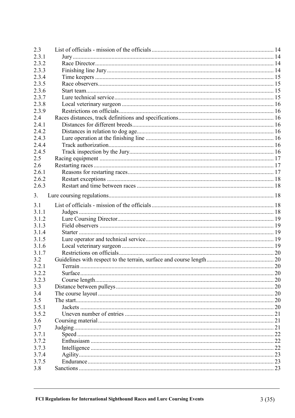| 2.3   |    |
|-------|----|
| 2.3.1 |    |
| 2.3.2 |    |
| 2.3.3 |    |
| 2.3.4 |    |
| 2.3.5 |    |
| 2.3.6 |    |
| 2.3.7 |    |
| 2.3.8 |    |
| 2.3.9 |    |
| 2.4   |    |
| 2.4.1 |    |
| 2.4.2 |    |
| 2.4.3 |    |
| 2.4.4 |    |
| 2.4.5 |    |
| 2.5   |    |
| 2.6   |    |
| 2.6.1 |    |
| 2.6.2 |    |
| 2.6.3 |    |
|       |    |
| 3.    |    |
| 3.1   |    |
| 3.1.1 |    |
| 3.1.2 |    |
| 3.1.3 |    |
| 3.1.4 |    |
| 3.1.5 |    |
| 3.1.6 |    |
| 3.1.7 |    |
| 3.2   |    |
| 3.2.1 |    |
| 3.2.2 | 20 |
| 3.2.3 |    |
| 3.3   |    |
| 3.4   |    |
| 3.5   |    |
| 3.5.1 |    |
| 3.5.2 |    |
| 3.6   |    |
| 3.7   |    |
| 3.7.1 |    |
| 3.7.2 |    |
| 3.7.3 |    |
| 3.7.4 |    |
| 3.7.5 |    |
| 3.8   |    |
|       |    |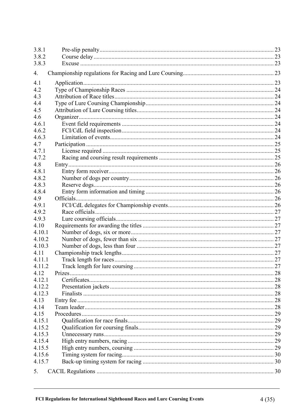| 3.8.1  |                                 |    |
|--------|---------------------------------|----|
| 3.8.2  |                                 |    |
| 3.8.3  |                                 |    |
| 4.     |                                 |    |
| 4.1    |                                 |    |
| 4.2    |                                 |    |
| 4.3    |                                 |    |
| 4.4    |                                 |    |
| 4.5    |                                 |    |
| 4.6    |                                 |    |
| 4.6.1  |                                 |    |
| 4.6.2  |                                 |    |
| 4.6.3  |                                 |    |
| 4.7    |                                 |    |
| 4.7.1  |                                 |    |
| 4.7.2  |                                 |    |
| 4.8    |                                 |    |
| 4.8.1  |                                 |    |
| 4.8.2  |                                 |    |
| 4.8.3  |                                 |    |
| 4.8.4  |                                 |    |
| 4.9    |                                 |    |
| 4.9.1  |                                 |    |
| 4.9.2  |                                 |    |
| 4.9.3  |                                 |    |
| 4.10   |                                 |    |
| 4.10.1 |                                 |    |
| 4.10.2 |                                 |    |
| 4.10.3 |                                 |    |
| 4.11   |                                 |    |
| 4.11.1 |                                 |    |
| 4.11.2 | Track length for lure coursing. | 27 |
| 4.12   |                                 |    |
| 4.12.1 |                                 |    |
| 4.12.2 |                                 |    |
| 4.12.3 |                                 |    |
| 4.13   |                                 |    |
| 4.14   |                                 |    |
| 4.15   |                                 |    |
| 4.15.1 |                                 |    |
| 4.15.2 |                                 |    |
| 4.15.3 |                                 |    |
| 4.15.4 |                                 |    |
| 4.15.5 |                                 |    |
| 4.15.6 |                                 |    |
| 4.15.7 |                                 |    |
| 5.     |                                 |    |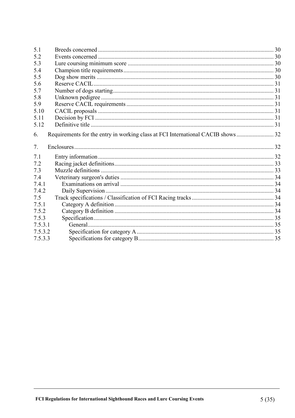| 5.1     |  |
|---------|--|
| 5.2     |  |
| 5.3     |  |
| 5.4     |  |
| 5.5     |  |
| 5.6     |  |
| 5.7     |  |
| 5.8     |  |
| 5.9     |  |
| 5.10    |  |
| 5.11    |  |
| 5.12    |  |
| 6.      |  |
|         |  |
| 7.      |  |
| 7.1     |  |
| 7.2     |  |
| 7.3     |  |
| 7.4     |  |
| 7.4.1   |  |
| 7.4.2   |  |
| 7.5     |  |
| 7.5.1   |  |
| 7.5.2   |  |
| 7.5.3   |  |
| 7.5.3.1 |  |
| 7.5.3.2 |  |
| 7.5.3.3 |  |
|         |  |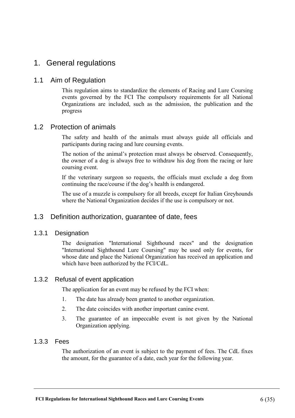# 1. General regulations

# 1.1 Aim of Regulation

This regulation aims to standardize the elements of Racing and Lure Coursing events governed by the FCI The compulsory requirements for all National Organizations are included, such as the admission, the publication and the progress

# 1.2 Protection of animals

The safety and health of the animals must always guide all officials and participants during racing and lure coursing events.

The notion of the animal's protection must always be observed. Consequently, the owner of a dog is always free to withdraw his dog from the racing or lure coursing event.

If the veterinary surgeon so requests, the officials must exclude a dog from continuing the race/course if the dog's health is endangered.

The use of a muzzle is compulsory for all breeds, except for Italian Greyhounds where the National Organization decides if the use is compulsory or not.

# 1.3 Definition authorization, guarantee of date, fees

#### 1.3.1 Designation

The designation "International Sighthound races" and the designation "International Sighthound Lure Coursing" may be used only for events, for whose date and place the National Organization has received an application and which have been authorized by the FCI/CdL.

#### 1.3.2 Refusal of event application

The application for an event may be refused by the FCI when:

- 1. The date has already been granted to another organization.
- 2. The date coincides with another important canine event.
- 3. The guarantee of an impeccable event is not given by the National Organization applying.

#### 1.3.3 Fees

The authorization of an event is subject to the payment of fees. The CdL fixes the amount, for the guarantee of a date, each year for the following year.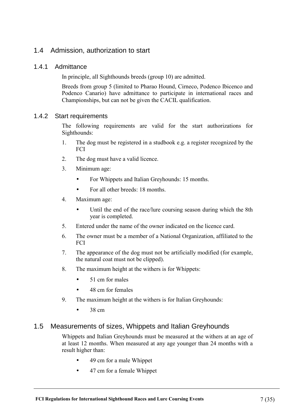# 1.4 Admission, authorization to start

### 1.4.1 Admittance

In principle, all Sighthounds breeds (group 10) are admitted.

Breeds from group 5 (limited to Pharao Hound, Cirneco, Podenco Ibicenco and Podenco Canario) have admittance to participate in international races and Championships, but can not be given the CACIL qualification.

#### 1.4.2 Start requirements

The following requirements are valid for the start authorizations for Sighthounds:

- 1. The dog must be registered in a studbook e.g. a register recognized by the **FCI**
- 2. The dog must have a valid licence.
- 3. Minimum age:
	- For Whippets and Italian Greyhounds: 15 months.
	- For all other breeds: 18 months.
- 4. Maximum age:
	- Until the end of the race/lure coursing season during which the 8th year is completed.
- 5. Entered under the name of the owner indicated on the licence card.
- 6. The owner must be a member of a National Organization, affiliated to the FCI
- 7. The appearance of the dog must not be artificially modified (for example, the natural coat must not be clipped).
- 8. The maximum height at the withers is for Whippets:
	- 51 cm for males
	- 48 cm for females
- 9. The maximum height at the withers is for Italian Greyhounds:
	- $\bullet$  38 cm

# 1.5 Measurements of sizes, Whippets and Italian Greyhounds

Whippets and Italian Greyhounds must be measured at the withers at an age of at least 12 months. When measured at any age younger than 24 months with a result higher than:

- 49 cm for a male Whippet
- 47 cm for a female Whippet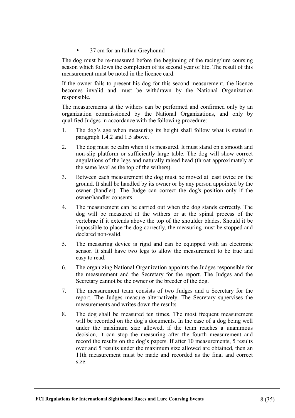#### • 37 cm for an Italian Greyhound

The dog must be re-measured before the beginning of the racing/lure coursing season which follows the completion of its second year of life. The result of this measurement must be noted in the licence card.

If the owner fails to present his dog for this second measurement, the licence becomes invalid and must be withdrawn by the National Organization responsible.

The measurements at the withers can be performed and confirmed only by an organization commissioned by the National Organizations, and only by qualified Judges in accordance with the following procedure:

- 1. The dog's age when measuring its height shall follow what is stated in paragraph 1.4.2 and 1.5 above.
- 2. The dog must be calm when it is measured. It must stand on a smooth and non-slip platform or sufficiently large table. The dog will show correct angulations of the legs and naturally raised head (throat approximately at the same level as the top of the withers).
- 3. Between each measurement the dog must be moved at least twice on the ground. It shall be handled by its owner or by any person appointed by the owner (handler). The Judge can correct the dog's position only if the owner/handler consents.
- 4. The measurement can be carried out when the dog stands correctly. The dog will be measured at the withers or at the spinal process of the vertebrae if it extends above the top of the shoulder blades. Should it be impossible to place the dog correctly, the measuring must be stopped and declared non-valid.
- 5. The measuring device is rigid and can be equipped with an electronic sensor. It shall have two legs to allow the measurement to be true and easy to read.
- 6. The organizing National Organization appoints the Judges responsible for the measurement and the Secretary for the report. The Judges and the Secretary cannot be the owner or the breeder of the dog.
- 7. The measurement team consists of two Judges and a Secretary for the report. The Judges measure alternatively. The Secretary supervises the measurements and writes down the results.
- 8. The dog shall be measured ten times. The most frequent measurement will be recorded on the dog's documents. In the case of a dog being well under the maximum size allowed, if the team reaches a unanimous decision, it can stop the measuring after the fourth measurement and record the results on the dog's papers. If after 10 measurements, 5 results over and 5 results under the maximum size allowed are obtained, then an 11th measurement must be made and recorded as the final and correct size.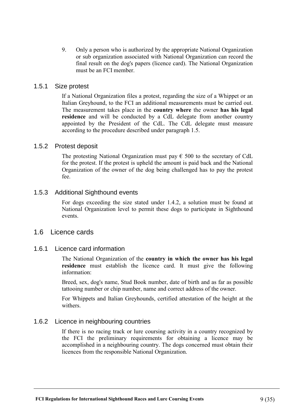9. Only a person who is authorized by the appropriate National Organization or sub organization associated with National Organization can record the final result on the dog's papers (licence card). The National Organization must be an FCI member.

#### 1.5.1 Size protest

If a National Organization files a protest, regarding the size of a Whippet or an Italian Greyhound, to the FCI an additional measurements must be carried out. The measurement takes place in the **country where** the owner **has his legal residence** and will be conducted by a CdL delegate from another country appointed by the President of the CdL. The CdL delegate must measure according to the procedure described under paragraph 1.5.

#### 1.5.2 Protest deposit

The protesting National Organization must pay  $\epsilon$  500 to the secretary of CdL for the protest. If the protest is upheld the amount is paid back and the National Organization of the owner of the dog being challenged has to pay the protest fee.

#### 1.5.3 Additional Sighthound events

For dogs exceeding the size stated under 1.4.2, a solution must be found at National Organization level to permit these dogs to participate in Sighthound events.

#### 1.6 Licence cards

#### 1.6.1 Licence card information

The National Organization of the **country in which the owner has his legal residence** must establish the licence card. It must give the following information:

Breed, sex, dog's name, Stud Book number, date of birth and as far as possible tattooing number or chip number, name and correct address of the owner.

For Whippets and Italian Greyhounds, certified attestation of the height at the withers.

#### 1.6.2 Licence in neighbouring countries

If there is no racing track or lure coursing activity in a country recognized by the FCI the preliminary requirements for obtaining a licence may be accomplished in a neighbouring country. The dogs concerned must obtain their licences from the responsible National Organization.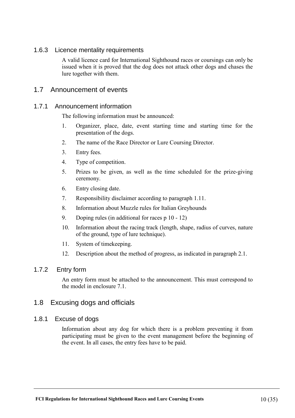### 1.6.3 Licence mentality requirements

A valid licence card for International Sighthound races or coursings can only be issued when it is proved that the dog does not attack other dogs and chases the lure together with them.

### 1.7 Announcement of events

#### 1.7.1 Announcement information

The following information must be announced:

- 1. Organizer, place, date, event starting time and starting time for the presentation of the dogs.
- 2. The name of the Race Director or Lure Coursing Director.
- 3. Entry fees.
- 4. Type of competition.
- 5. Prizes to be given, as well as the time scheduled for the prize-giving ceremony.
- 6. Entry closing date.
- 7. Responsibility disclaimer according to paragraph 1.11.
- 8. Information about Muzzle rules for Italian Greyhounds
- 9. Doping rules (in additional for races p 10 12)
- 10. Information about the racing track (length, shape, radius of curves, nature of the ground, type of lure technique).
- 11. System of timekeeping.
- 12. Description about the method of progress, as indicated in paragraph 2.1.

#### 1.7.2 Entry form

An entry form must be attached to the announcement. This must correspond to the model in enclosure 7.1.

#### 1.8 Excusing dogs and officials

#### 1.8.1 Excuse of dogs

Information about any dog for which there is a problem preventing it from participating must be given to the event management before the beginning of the event. In all cases, the entry fees have to be paid.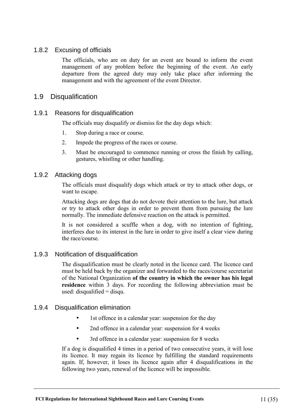### 1.8.2 Excusing of officials

The officials, who are on duty for an event are bound to inform the event management of any problem before the beginning of the event. An early departure from the agreed duty may only take place after informing the management and with the agreement of the event Director.

### 1.9 Disqualification

#### 1.9.1 Reasons for disqualification

The officials may disqualify or dismiss for the day dogs which:

- 1. Stop during a race or course.
- 2. Impede the progress of the races or course.
- 3. Must be encouraged to commence running or cross the finish by calling, gestures, whistling or other handling.

### 1.9.2 Attacking dogs

The officials must disqualify dogs which attack or try to attack other dogs, or want to escape.

Attacking dogs are dogs that do not devote their attention to the lure, but attack or try to attack other dogs in order to prevent them from pursuing the lure normally. The immediate defensive reaction on the attack is permitted.

It is not considered a scuffle when a dog, with no intention of fighting, interferes due to its interest in the lure in order to give itself a clear view during the race/course.

#### 1.9.3 Notification of disqualification

The disqualification must be clearly noted in the licence card. The licence card must be held back by the organizer and forwarded to the races/course secretariat of the National Organization **of the country in which the owner has his legal residence** within 3 days. For recording the following abbreviation must be used: disqualified  $=$  disqu.

#### 1.9.4 Disqualification elimination

- 1st offence in a calendar year: suspension for the day
- 2nd offence in a calendar year: suspension for 4 weeks
- 3rd offence in a calendar year: suspension for 8 weeks

If a dog is disqualified 4 times in a period of two consecutive years, it will lose its licence. It may regain its licence by fulfilling the standard requirements again. If, however, it loses its licence again after 4 disqualifications in the following two years, renewal of the licence will be impossible.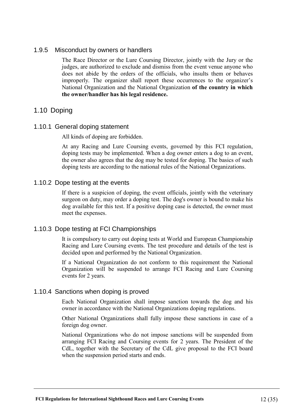#### 1.9.5 Misconduct by owners or handlers

The Race Director or the Lure Coursing Director, jointly with the Jury or the judges, are authorized to exclude and dismiss from the event venue anyone who does not abide by the orders of the officials, who insults them or behaves improperly. The organizer shall report these occurrences to the organizer's National Organization and the National Organization **of the country in which the owner/handler has his legal residence.** 

# 1.10 Doping

### 1.10.1 General doping statement

All kinds of doping are forbidden.

At any Racing and Lure Coursing events, governed by this FCI regulation, doping tests may be implemented. When a dog owner enters a dog to an event, the owner also agrees that the dog may be tested for doping. The basics of such doping tests are according to the national rules of the National Organizations.

#### 1.10.2 Dope testing at the events

If there is a suspicion of doping, the event officials, jointly with the veterinary surgeon on duty, may order a doping test. The dog's owner is bound to make his dog available for this test. If a positive doping case is detected, the owner must meet the expenses.

# 1.10.3 Dope testing at FCI Championships

It is compulsory to carry out doping tests at World and European Championship Racing and Lure Coursing events. The test procedure and details of the test is decided upon and performed by the National Organization.

If a National Organization do not conform to this requirement the National Organization will be suspended to arrange FCI Racing and Lure Coursing events for 2 years.

#### 1.10.4 Sanctions when doping is proved

Each National Organization shall impose sanction towards the dog and his owner in accordance with the National Organizations doping regulations.

Other National Organizations shall fully impose these sanctions in case of a foreign dog owner.

National Organizations who do not impose sanctions will be suspended from arranging FCI Racing and Coursing events for 2 years. The President of the CdL, together with the Secretary of the CdL give proposal to the FCI board when the suspension period starts and ends.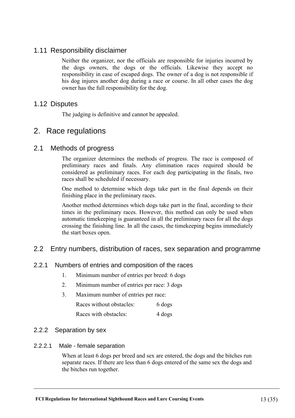# 1.11 Responsibility disclaimer

Neither the organizer, nor the officials are responsible for injuries incurred by the dogs owners, the dogs or the officials. Likewise they accept no responsibility in case of escaped dogs. The owner of a dog is not responsible if his dog injures another dog during a race or course. In all other cases the dog owner has the full responsibility for the dog.

# 1.12 Disputes

The judging is definitive and cannot be appealed.

# 2. Race regulations

# 2.1 Methods of progress

The organizer determines the methods of progress. The race is composed of preliminary races and finals. Any elimination races required should be considered as preliminary races. For each dog participating in the finals, two races shall be scheduled if necessary.

One method to determine which dogs take part in the final depends on their finishing place in the preliminary races.

Another method determines which dogs take part in the final, according to their times in the preliminary races. However, this method can only be used when automatic timekeeping is guaranteed in all the preliminary races for all the dogs crossing the finishing line. In all the cases, the timekeeping begins immediately the start boxes open.

# 2.2 Entry numbers, distribution of races, sex separation and programme

# 2.2.1 Numbers of entries and composition of the races

- 1. Minimum number of entries per breed: 6 dogs
- 2. Minimum number of entries per race: 3 dogs
- 3. Maximum number of entries per race: Races without obstacles: 6 dogs Races with obstacles: 4 dogs

#### 2.2.2 Separation by sex

#### 2.2.2.1 Male - female separation

When at least 6 dogs per breed and sex are entered, the dogs and the bitches run separate races. If there are less than 6 dogs entered of the same sex the dogs and the bitches run together.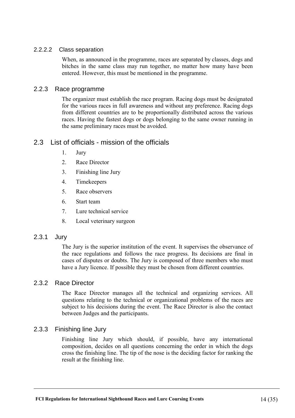#### 2.2.2.2 Class separation

When, as announced in the programme, races are separated by classes, dogs and bitches in the same class may run together, no matter how many have been entered. However, this must be mentioned in the programme.

#### 2.2.3 Race programme

The organizer must establish the race program. Racing dogs must be designated for the various races in full awareness and without any preference. Racing dogs from different countries are to be proportionally distributed across the various races. Having the fastest dogs or dogs belonging to the same owner running in the same preliminary races must be avoided.

# 2.3 List of officials - mission of the officials

- 1. Jury
- 2. Race Director
- 3. Finishing line Jury
- 4. Timekeepers
- 5. Race observers
- 6. Start team
- 7. Lure technical service
- 8. Local veterinary surgeon

#### 2.3.1 Jury

The Jury is the superior institution of the event. It supervises the observance of the race regulations and follows the race progress. Its decisions are final in cases of disputes or doubts. The Jury is composed of three members who must have a Jury licence. If possible they must be chosen from different countries.

#### 2.3.2 Race Director

The Race Director manages all the technical and organizing services. All questions relating to the technical or organizational problems of the races are subject to his decisions during the event. The Race Director is also the contact between Judges and the participants.

#### 2.3.3 Finishing line Jury

Finishing line Jury which should, if possible, have any international composition, decides on all questions concerning the order in which the dogs cross the finishing line. The tip of the nose is the deciding factor for ranking the result at the finishing line.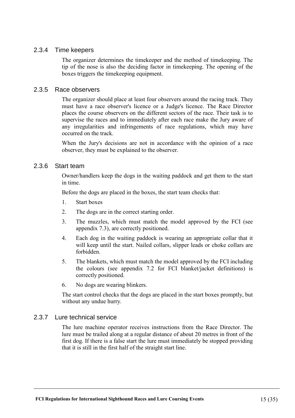#### 2.3.4 Time keepers

The organizer determines the timekeeper and the method of timekeeping. The tip of the nose is also the deciding factor in timekeeping. The opening of the boxes triggers the timekeeping equipment.

#### 2.3.5 Race observers

The organizer should place at least four observers around the racing track. They must have a race observer's licence or a Judge's licence. The Race Director places the course observers on the different sectors of the race. Their task is to supervise the races and to immediately after each race make the Jury aware of any irregularities and infringements of race regulations, which may have occurred on the track.

When the Jury's decisions are not in accordance with the opinion of a race observer, they must be explained to the observer.

### 2.3.6 Start team

Owner/handlers keep the dogs in the waiting paddock and get them to the start in time.

Before the dogs are placed in the boxes, the start team checks that:

- 1. Start boxes
- 2. The dogs are in the correct starting order.
- 3. The muzzles, which must match the model approved by the FCI (see appendix 7.3), are correctly positioned.
- 4. Each dog in the waiting paddock is wearing an appropriate collar that it will keep until the start. Nailed collars, slipper leads or choke collars are forbidden.
- 5. The blankets, which must match the model approved by the FCI including the colours (see appendix 7.2 for FCI blanket/jacket definitions) is correctly positioned.
- 6. No dogs are wearing blinkers.

The start control checks that the dogs are placed in the start boxes promptly, but without any undue hurry.

#### 2.3.7 Lure technical service

The lure machine operator receives instructions from the Race Director. The lure must be trailed along at a regular distance of about 20 metres in front of the first dog. If there is a false start the lure must immediately be stopped providing that it is still in the first half of the straight start line.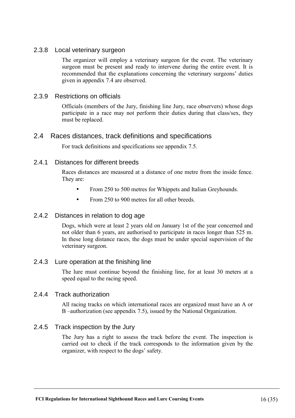### 2.3.8 Local veterinary surgeon

The organizer will employ a veterinary surgeon for the event. The veterinary surgeon must be present and ready to intervene during the entire event. It is recommended that the explanations concerning the veterinary surgeons' duties given in appendix 7.4 are observed.

#### 2.3.9 Restrictions on officials

Officials (members of the Jury, finishing line Jury, race observers) whose dogs participate in a race may not perform their duties during that class/sex, they must be replaced.

### 2.4 Races distances, track definitions and specifications

For track definitions and specifications see appendix 7.5.

#### 2.4.1 Distances for different breeds

Races distances are measured at a distance of one metre from the inside fence. They are:

- From 250 to 500 metres for Whippets and Italian Greyhounds.
- From 250 to 900 metres for all other breeds

#### 2.4.2 Distances in relation to dog age

Dogs, which were at least 2 years old on January 1st of the year concerned and not older than 6 years, are authorised to participate in races longer than 525 m. In these long distance races, the dogs must be under special supervision of the veterinary surgeon.

#### 2.4.3 Lure operation at the finishing line

The lure must continue beyond the finishing line, for at least 30 meters at a speed equal to the racing speed.

#### 2.4.4 Track authorization

All racing tracks on which international races are organized must have an A or B –authorization (see appendix 7.5), issued by the National Organization.

#### 2.4.5 Track inspection by the Jury

The Jury has a right to assess the track before the event. The inspection is carried out to check if the track corresponds to the information given by the organizer, with respect to the dogs' safety.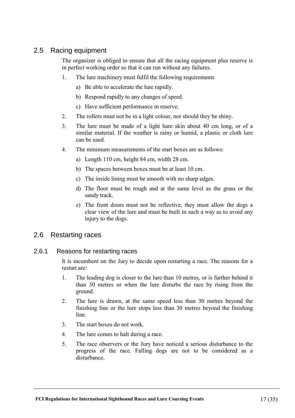# 2.5 Racing equipment

The organizer is obliged to ensure that all the racing equipment plus reserve is in perfect working order so that it can run without any failures.

- 1. The lure machinery must fulfil the following requirements
	- a) Be able to accelerate the lure rapidly.
	- b) Respond rapidly to any changes of speed.
	- c) Have sufficient performance in reserve.
- 2. The rollers must not be in a light colour, nor should they be shiny.
- 3. The lure must be made of a light hare skin about 40 cm long, or of a similar material. If the weather is rainy or humid, a plastic or cloth lure can be used.
- 4. The minimum measurements of the start boxes are as follows:
	- a) Length 110 cm, height 84 cm, width 28 cm.
	- b) The spaces between boxes must be at least 10 cm.
	- c) The inside lining must be smooth with no sharp edges.
	- d) The floor must be rough and at the same level as the grass or the sandy track.
	- e) The front doors must not be reflective, they must allow the dogs a clear view of the lure and must be built in such a way as to avoid any injury to the dogs.

# 2.6 Restarting races

#### 2.6.1 Reasons for restarting races

It is incumbent on the Jury to decide upon restarting a race. The reasons for a restart are:

- 1. The leading dog is closer to the lure than 10 metres, or is further behind it than 30 metres or when the lure disturbs the race by rising from the ground.
- 2. The lure is drawn, at the same speed less than 30 metres beyond the finishing line or the lure stops less than 30 metres beyond the finishing line.
- 3. The start boxes do not work.
- 4. The lure comes to halt during a race.
- 5. The race observers or the Jury have noticed a serious disturbance to the progress of the race. Falling dogs are not to be considered as a disturbance.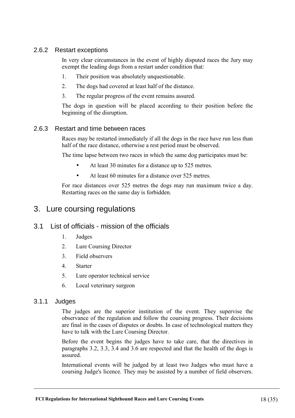# 2.6.2 Restart exceptions

In very clear circumstances in the event of highly disputed races the Jury may exempt the leading dogs from a restart under condition that:

- 1. Their position was absolutely unquestionable.
- 2. The dogs had covered at least half of the distance.
- 3. The regular progress of the event remains assured.

The dogs in question will be placed according to their position before the beginning of the disruption.

#### 2.6.3 Restart and time between races

Races may be restarted immediately if all the dogs in the race have run less than half of the race distance, otherwise a rest period must be observed.

The time lapse between two races in which the same dog participates must be:

- At least 30 minutes for a distance up to 525 metres.
- At least 60 minutes for a distance over 525 metres.

For race distances over 525 metres the dogs may run maximum twice a day. Restarting races on the same day is forbidden.

# 3. Lure coursing regulations

# 3.1 List of officials - mission of the officials

- 1. Judges
- 2. Lure Coursing Director
- 3. Field observers
- 4. Starter
- 5. Lure operator technical service
- 6. Local veterinary surgeon

#### 3.1.1 Judges

The judges are the superior institution of the event. They supervise the observance of the regulation and follow the coursing progress. Their decisions are final in the cases of disputes or doubts. In case of technological matters they have to talk with the Lure Coursing Director.

Before the event begins the judges have to take care, that the directives in paragraphs 3.2, 3.3, 3.4 and 3.6 are respected and that the health of the dogs is assured.

International events will be judged by at least two Judges who must have a coursing Judge's licence. They may be assisted by a number of field observers.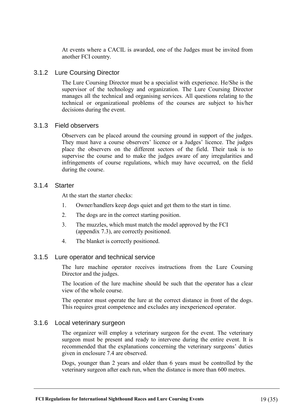At events where a CACIL is awarded, one of the Judges must be invited from another FCI country.

#### 3.1.2 Lure Coursing Director

The Lure Coursing Director must be a specialist with experience. He/She is the supervisor of the technology and organization. The Lure Coursing Director manages all the technical and organising services. All questions relating to the technical or organizational problems of the courses are subject to his/her decisions during the event.

#### 3.1.3 Field observers

Observers can be placed around the coursing ground in support of the judges. They must have a course observers' licence or a Judges' licence. The judges place the observers on the different sectors of the field. Their task is to supervise the course and to make the judges aware of any irregularities and infringements of course regulations, which may have occurred, on the field during the course.

#### 3.1.4 Starter

At the start the starter checks:

- 1. Owner/handlers keep dogs quiet and get them to the start in time.
- 2. The dogs are in the correct starting position.
- 3. The muzzles, which must match the model approved by the FCI (appendix 7.3), are correctly positioned.
- 4. The blanket is correctly positioned.

#### 3.1.5 Lure operator and technical service

The lure machine operator receives instructions from the Lure Coursing Director and the judges.

The location of the lure machine should be such that the operator has a clear view of the whole course.

The operator must operate the lure at the correct distance in front of the dogs. This requires great competence and excludes any inexperienced operator.

#### 3.1.6 Local veterinary surgeon

The organizer will employ a veterinary surgeon for the event. The veterinary surgeon must be present and ready to intervene during the entire event. It is recommended that the explanations concerning the veterinary surgeons' duties given in enclosure 7.4 are observed.

Dogs, younger than 2 years and older than 6 years must be controlled by the veterinary surgeon after each run, when the distance is more than 600 metres.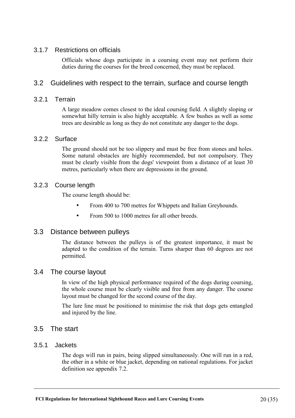### 3.1.7 Restrictions on officials

Officials whose dogs participate in a coursing event may not perform their duties during the courses for the breed concerned, they must be replaced.

# 3.2 Guidelines with respect to the terrain, surface and course length

### 3.2.1 Terrain

A large meadow comes closest to the ideal coursing field. A slightly sloping or somewhat hilly terrain is also highly acceptable. A few bushes as well as some trees are desirable as long as they do not constitute any danger to the dogs.

#### 3.2.2 Surface

The ground should not be too slippery and must be free from stones and holes. Some natural obstacles are highly recommended, but not compulsory. They must be clearly visible from the dogs' viewpoint from a distance of at least 30 metres, particularly when there are depressions in the ground.

#### 3.2.3 Course length

The course length should be:

- From 400 to 700 metres for Whippets and Italian Greyhounds.
- From 500 to 1000 metres for all other breeds.

# 3.3 Distance between pulleys

The distance between the pulleys is of the greatest importance, it must be adapted to the condition of the terrain. Turns sharper than 60 degrees are not permitted.

#### 3.4 The course layout

In view of the high physical performance required of the dogs during coursing, the whole course must be clearly visible and free from any danger. The course layout must be changed for the second course of the day.

The lure line must be positioned to minimise the risk that dogs gets entangled and injured by the line.

# 3.5 The start

#### 3.5.1 Jackets

The dogs will run in pairs, being slipped simultaneously. One will run in a red, the other in a white or blue jacket, depending on national regulations. For jacket definition see appendix 7.2.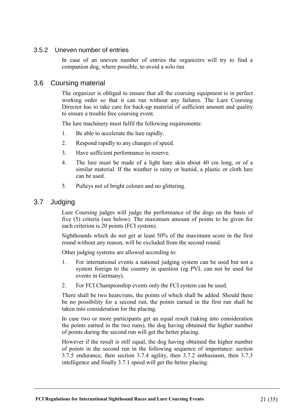# 3.5.2 Uneven number of entries

In case of an uneven number of entries the organizers will try to find a companion dog, where possible, to avoid a solo run

# 3.6 Coursing material

The organizer is obliged to ensure that all the coursing equipment is in perfect working order so that it can run without any failures. The Lure Coursing Director has to take care for back-up material of sufficient amount and quality to ensure a trouble free coursing event.

The lure machinery must fulfil the following requirements:

- 1. Be able to accelerate the lure rapidly.
- 2. Respond rapidly to any changes of speed.
- 3. Have sufficient performance in reserve.
- 4. The lure must be made of a light hare skin about 40 cm long, or of a similar material. If the weather is rainy or humid, a plastic or cloth lure can be used.
- 5. Pulleys not of bright colours and no glittering.

# 3.7 Judging

Lure Coursing judges will judge the performance of the dogs on the basis of five (5) criteria (see below). The maximum amount of points to be given for each criterion is 20 points (FCI system).

Sighthounds which do not get at least 50% of the maximum score in the first round without any reason, will be excluded from the second round.

Other judging systems are allowed according to:

- 1. For international events a national judging system can be used but not a system foreign to the country in question (eg PVL can not be used for events in Germany).
- 2. For FCI Championship events only the FCI system can be used.

There shall be two heats/runs, the points of which shall be added. Should there be no possibility for a second run, the points earned in the first run shall be taken into consideration for the placing.

In case two or more participants get an equal result (taking into consideration the points earned in the two runs), the dog having obtained the higher number of points during the second run will get the better placing.

However if the result is still equal, the dog having obtained the higher number of points in the second run in the following sequence of importance: section 3.7.5 endurance, then section 3.7.4 agility, then 3.7.2 enthusiasm, then 3.7.3 intelligence and finally 3.7.1 speed will get the better placing.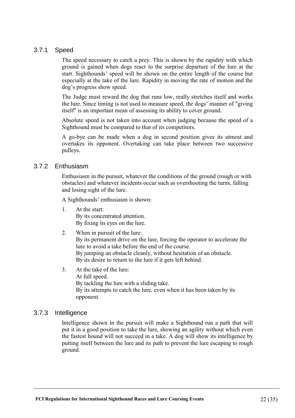### 3.7.1 Speed

The speed necessary to catch a prey. This is shown by the rapidity with which ground is gained when dogs react to the surprise departure of the lure at the start. Sighthounds' speed will be shown on the entire length of the course but especially at the take of the lure. Rapidity in moving the rate of motion and the dog's progress show speed.

The Judge must reward the dog that runs low, really stretches itself and works the lure. Since timing is not used to measure speed, the dogs' manner of "giving itself" is an important mean of assessing its ability to cover ground.

Absolute speed is not taken into account when judging because the speed of a Sighthound must be compared to that of its competitors.

A go-bye can be made when a dog in second position gives its utmost and overtakes its opponent. Overtaking can take place between two successive pulleys.

#### 3.7.2 Enthusiasm

Enthusiasm in the pursuit, whatever the conditions of the ground (rough or with obstacles) and whatever incidents occur such as overshooting the turns, falling and losing sight of the lure.

A Sighthounds' enthusiasm is shown:

1. At the start: By its concentrated attention. By fixing its eyes on the lure.

#### 2. When in pursuit of the lure: By its permanent drive on the lure, forcing the operator to accelerate the lure to avoid a take before the end of the course. By jumping an obstacle cleanly, without hesitation of an obstacle. By its desire to return to the lure if it gets left behind.

3. At the take of the lure: At full speed. By tackling the lure with a sliding take. By its attempts to catch the lure, even when it has been taken by its opponent.

#### 3.7.3 Intelligence

Intelligence shown in the pursuit will make a Sighthound run a path that will put it in a good position to take the lure, showing an agility without which even the fastest hound will not succeed in a take. A dog will show its intelligence by putting itself between the lure and its path to prevent the lure escaping to rough ground.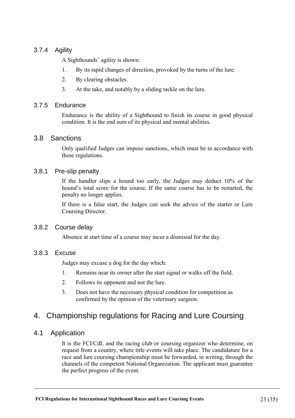# 3.7.4 Agility

A Sighthounds' agility is shown:

- 1. By its rapid changes of direction, provoked by the turns of the lure.
- 2. By clearing obstacles.
- 3. At the take, and notably by a sliding tackle on the lure.

### 3.7.5 Endurance

Endurance is the ability of a Sighthound to finish its course in good physical condition. It is the end sum of its physical and mental abilities.

### 3.8 Sanctions

Only qualified Judges can impose sanctions, which must be in accordance with these regulations.

### 3.8.1 Pre-slip penalty

If the handler slips a hound too early, the Judges may deduct 10% of the hound's total score for the course. If the same course has to be restarted, the penalty no longer applies.

If there is a false start, the Judges can seek the advice of the starter or Lure Coursing Director.

#### 3.8.2 Course delay

Absence at start time of a course may incur a dismissal for the day.

#### 3.8.3 Excuse

Judges may excuse a dog for the day which:

- 1. Remains near its owner after the start signal or walks off the field.
- 2. Follows its opponent and not the lure.
- 3. Does not have the necessary physical condition for competition as confirmed by the opinion of the veterinary surgeon.

# 4. Championship regulations for Racing and Lure Coursing

# 4.1 Application

It is the FCI/CdL and the racing club or coursing organizer who determine, on request from a country, where title events will take place. The candidature for a race and lure coursing championship must be forwarded, in writing, through the channels of the competent National Organization. The applicant must guarantee the perfect progress of the event.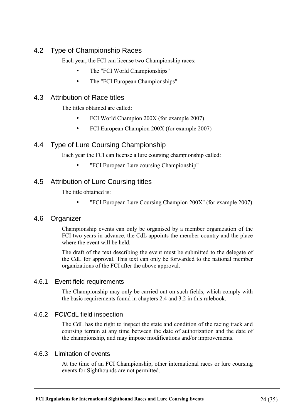# 4.2 Type of Championship Races

Each year, the FCI can license two Championship races:

- The "FCI World Championships"
- The "FCI European Championships"

# 4.3 Attribution of Race titles

The titles obtained are called:

- FCI World Champion 200X (for example 2007)
- FCI European Champion 200X (for example 2007)

# 4.4 Type of Lure Coursing Championship

Each year the FCI can license a lure coursing championship called:

• "FCI European Lure coursing Championship"

# 4.5 Attribution of Lure Coursing titles

The title obtained is:

"FCI European Lure Coursing Champion 200X" (for example 2007)

# 4.6 Organizer

Championship events can only be organised by a member organization of the FCI two years in advance, the CdL appoints the member country and the place where the event will be held.

The draft of the text describing the event must be submitted to the delegate of the CdL for approval. This text can only be forwarded to the national member organizations of the FCI after the above approval.

# 4.6.1 Event field requirements

The Championship may only be carried out on such fields, which comply with the basic requirements found in chapters 2.4 and 3.2 in this rulebook.

# 4.6.2 FCI/CdL field inspection

The CdL has the right to inspect the state and condition of the racing track and coursing terrain at any time between the date of authorization and the date of the championship, and may impose modifications and/or improvements.

# 4.6.3 Limitation of events

At the time of an FCI Championship, other international races or lure coursing events for Sighthounds are not permitted.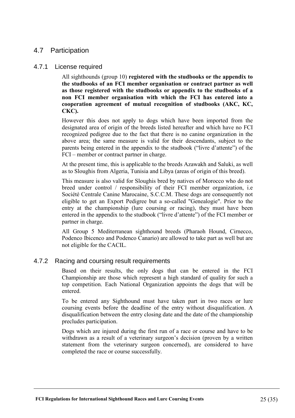# 4.7 Participation

#### 4.7.1 License required

All sighthounds (group 10) **registered with the studbooks or the appendix to the studbooks of an FCI member organisation or contract partner as well as those registered with the studbooks or appendix to the studbooks of a non FCI member organisation with which the FCI has entered into a cooperation agreement of mutual recognition of studbooks (AKC, KC, CKC).** 

However this does not apply to dogs which have been imported from the designated area of origin of the breeds listed hereafter and which have no FCI recognized pedigree due to the fact that there is no canine organization in the above area; the same measure is valid for their descendants, subject to the parents being entered in the appendix to the studbook ("livre d'attente") of the FCI – member or contract partner in charge.

At the present time, this is applicable to the breeds Azawakh and Saluki, as well as to Sloughis from Algeria, Tunisia and Libya (areas of origin of this breed).

This measure is also valid for Sloughis bred by natives of Morocco who do not breed under control / responsibility of their FCI member organization, i.e Société Centrale Canine Marocaine, S.C.C.M. These dogs are consequently not eligible to get an Export Pedigree but a so-called "Genealogie". Prior to the entry at the championship (lure coursing or racing), they must have been entered in the appendix to the studbook ("livre d'attente") of the FCI member or partner in charge.

All Group 5 Mediterranean sighthound breeds (Pharaoh Hound, Cirnecco, Podenco Ibicenco and Podenco Canario) are allowed to take part as well but are not eligible for the CACIL.

# 4.7.2 Racing and coursing result requirements

Based on their results, the only dogs that can be entered in the FCI Championship are those which represent a high standard of quality for such a top competition. Each National Organization appoints the dogs that will be entered.

To be entered any Sighthound must have taken part in two races or lure coursing events before the deadline of the entry without disqualification. A disqualification between the entry closing date and the date of the championship precludes participation.

Dogs which are injured during the first run of a race or course and have to be withdrawn as a result of a veterinary surgeon's decision (proven by a written statement from the veterinary surgeon concerned), are considered to have completed the race or course successfully.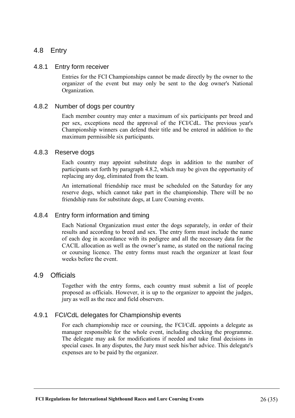# 4.8 Entry

#### 4.8.1 Entry form receiver

Entries for the FCI Championships cannot be made directly by the owner to the organizer of the event but may only be sent to the dog owner's National Organization.

#### 4.8.2 Number of dogs per country

Each member country may enter a maximum of six participants per breed and per sex, exceptions need the approval of the FCI/CdL. The previous year's Championship winners can defend their title and be entered in addition to the maximum permissible six participants.

#### 4.8.3 Reserve dogs

Each country may appoint substitute dogs in addition to the number of participants set forth by paragraph 4.8.2, which may be given the opportunity of replacing any dog, eliminated from the team.

An international friendship race must be scheduled on the Saturday for any reserve dogs, which cannot take part in the championship. There will be no friendship runs for substitute dogs, at Lure Coursing events.

#### 4.8.4 Entry form information and timing

Each National Organization must enter the dogs separately, in order of their results and according to breed and sex. The entry form must include the name of each dog in accordance with its pedigree and all the necessary data for the CACIL allocation as well as the owner's name, as stated on the national racing or coursing licence. The entry forms must reach the organizer at least four weeks before the event.

#### 4.9 Officials

Together with the entry forms, each country must submit a list of people proposed as officials. However, it is up to the organizer to appoint the judges, jury as well as the race and field observers.

#### 4.9.1 FCI/CdL delegates for Championship events

For each championship race or coursing, the FCI/CdL appoints a delegate as manager responsible for the whole event, including checking the programme. The delegate may ask for modifications if needed and take final decisions in special cases. In any disputes, the Jury must seek his/her advice. This delegate's expenses are to be paid by the organizer.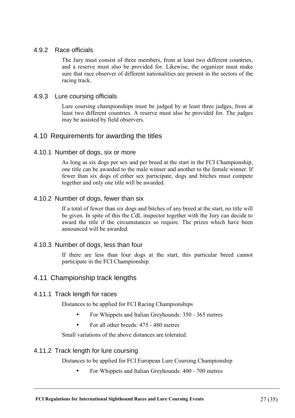#### 4.9.2 Race officials

The Jury must consist of three members, from at least two different countries, and a reserve must also be provided for. Likewise, the organizer must make sure that race observer of different nationalities are present in the sectors of the racing track.

#### 4.9.3 Lure coursing officials

Lure coursing championships must be judged by at least three judges, from at least two different countries. A reserve must also be provided for. The judges may be assisted by field observers.

# 4.10 Requirements for awarding the titles

### 4.10.1 Number of dogs, six or more

As long as six dogs per sex and per breed at the start in the FCI Championship, one title can be awarded to the male winner and another to the female winner. If fewer than six dogs of either sex participate, dogs and bitches must compete together and only one title will be awarded.

### 4.10.2 Number of dogs, fewer than six

If a total of fewer than six dogs and bitches of any breed at the start, no title will be given. In spite of this the CdL inspector together with the Jury can decide to award the title if the circumstances so require. The prizes which have been announced will be awarded.

#### 4.10.3 Number of dogs, less than four

If there are less than four dogs at the start, this particular breed cannot participate in the FCI Championship.

# 4.11 Championship track lengths

#### 4.11.1 Track length for races

Distances to be applied for FCI Racing Championships

- For Whippets and Italian Greyhounds: 350 365 metres
- For all other breeds: 475 480 metres

Small variations of the above distances are tolerated.

# 4.11.2 Track length for lure coursing

Distances to be applied for FCI European Lure Coursing Championship

• For Whippets and Italian Greyhounds: 400 - 700 metres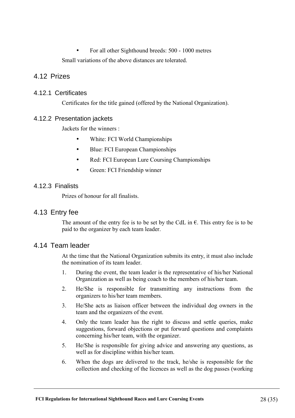• For all other Sighthound breeds: 500 - 1000 metres Small variations of the above distances are tolerated.

# 4.12 Prizes

#### 4.12.1 Certificates

Certificates for the title gained (offered by the National Organization).

### 4.12.2 Presentation jackets

Jackets for the winners :

- White: FCI World Championships
- Blue: FCI European Championships
- Red: FCI European Lure Coursing Championships
- Green: FCI Friendship winner

### 4.12.3 Finalists

Prizes of honour for all finalists.

# 4.13 Entry fee

The amount of the entry fee is to be set by the CdL in  $\epsilon$ . This entry fee is to be paid to the organizer by each team leader.

# 4.14 Team leader

At the time that the National Organization submits its entry, it must also include the nomination of its team leader.

- 1. During the event, the team leader is the representative of his/her National Organization as well as being coach to the members of his/her team.
- 2. He/She is responsible for transmitting any instructions from the organizers to his/her team members.
- 3. He/She acts as liaison officer between the individual dog owners in the team and the organizers of the event.
- 4. Only the team leader has the right to discuss and settle queries, make suggestions, forward objections or put forward questions and complaints concerning his/her team, with the organizer.
- 5. He/She is responsible for giving advice and answering any questions, as well as for discipline within his/her team.
- 6. When the dogs are delivered to the track, he/she is responsible for the collection and checking of the licences as well as the dog passes (working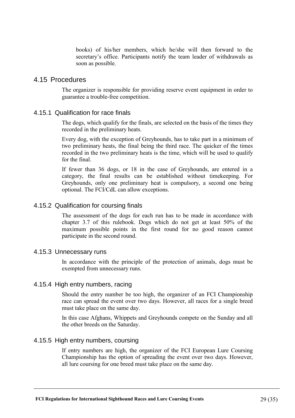books) of his/her members, which he/she will then forward to the secretary's office. Participants notify the team leader of withdrawals as soon as possible.

#### 4.15 Procedures

The organizer is responsible for providing reserve event equipment in order to guarantee a trouble-free competition.

#### 4.15.1 Qualification for race finals

The dogs, which qualify for the finals, are selected on the basis of the times they recorded in the preliminary heats.

Every dog, with the exception of Greyhounds, has to take part in a minimum of two preliminary heats, the final being the third race. The quicker of the times recorded in the two preliminary heats is the time, which will be used to qualify for the final.

If fewer than 36 dogs, or 18 in the case of Greyhounds, are entered in a category, the final results can be established without timekeeping. For Greyhounds, only one preliminary heat is compulsory, a second one being optional. The FCI/CdL can allow exceptions.

#### 4.15.2 Qualification for coursing finals

The assessment of the dogs for each run has to be made in accordance with chapter 3.7 of this rulebook. Dogs which do not get at least 50% of the maximum possible points in the first round for no good reason cannot participate in the second round.

#### 4.15.3 Unnecessary runs

In accordance with the principle of the protection of animals, dogs must be exempted from unnecessary runs.

#### 4.15.4 High entry numbers, racing

Should the entry number be too high, the organizer of an FCI Championship race can spread the event over two days. However, all races for a single breed must take place on the same day.

In this case Afghans, Whippets and Greyhounds compete on the Sunday and all the other breeds on the Saturday.

#### 4.15.5 High entry numbers, coursing

If entry numbers are high, the organizer of the FCI European Lure Coursing Championship has the option of spreading the event over two days. However, all lure coursing for one breed must take place on the same day.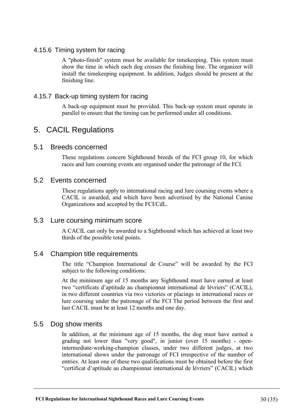# 4.15.6 Timing system for racing

A "photo-finish" system must be available for timekeeping. This system must show the time in which each dog crosses the finishing line. The organizer will install the timekeeping equipment. In addition, Judges should be present at the finishing line.

### 4.15.7 Back-up timing system for racing

A back-up equipment must be provided. This back-up system must operate in parallel to ensure that the timing can be performed under all conditions.

# 5. CACIL Regulations

# 5.1 Breeds concerned

These regulations concern Sighthound breeds of the FCI group 10, for which races and lure coursing events are organised under the patronage of the FCI.

# 5.2 Events concerned

These regulations apply to international racing and lure coursing events where a CACIL is awarded, and which have been advertised by the National Canine Organizations and accepted by the FCI/CdL.

# 5.3 Lure coursing minimum score

A CACIL can only be awarded to a Sighthound which has achieved at least two thirds of the possible total points.

# 5.4 Champion title requirements

The title "Champion International de Course" will be awarded by the FCI subject to the following conditions:

At the minimum age of 15 months any Sighthound must have earned at least two "certificats d'aptitude au championnat international de lévriers" (CACIL), in two different countries via two victories or placings in international races or lure coursing under the patronage of the FCI The period between the first and last CACIL must be at least 12 months and one day.

# 5.5 Dog show merits

In addition, at the minimum age of 15 months, the dog must have earned a grading not lower than "very good", in junior (over 15 months) - openintermediate-working-champion classes, under two different judges, at two international shows under the patronage of FCI irrespective of the number of entries. At least one of these two qualifications must be obtained before the first "certificat d'aptitude au championnat international de lévriers" (CACIL) which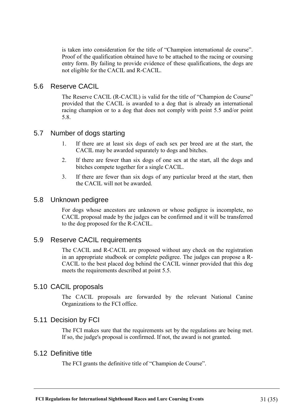is taken into consideration for the title of "Champion international de course". Proof of the qualification obtained have to be attached to the racing or coursing entry form. By failing to provide evidence of these qualifications, the dogs are not eligible for the CACIL and R-CACIL.

# 5.6 Reserve CACIL

The Reserve CACIL (R-CACIL) is valid for the title of "Champion de Course" provided that the CACIL is awarded to a dog that is already an international racing champion or to a dog that does not comply with point 5.5 and/or point 5.8.

# 5.7 Number of dogs starting

- 1. If there are at least six dogs of each sex per breed are at the start, the CACIL may be awarded separately to dogs and bitches.
- 2. If there are fewer than six dogs of one sex at the start, all the dogs and bitches compete together for a single CACIL.
- 3. If there are fewer than six dogs of any particular breed at the start, then the CACIL will not be awarded.

# 5.8 Unknown pedigree

For dogs whose ancestors are unknown or whose pedigree is incomplete, no CACIL proposal made by the judges can be confirmed and it will be transferred to the dog proposed for the R-CACIL.

# 5.9 Reserve CACIL requirements

The CACIL and R-CACIL are proposed without any check on the registration in an appropriate studbook or complete pedigree. The judges can propose a R-CACIL to the best placed dog behind the CACIL winner provided that this dog meets the requirements described at point 5.5.

# 5.10 CACIL proposals

The CACIL proposals are forwarded by the relevant National Canine Organizations to the FCI office.

# 5.11 Decision by FCI

The FCI makes sure that the requirements set by the regulations are being met. If so, the judge's proposal is confirmed. If not, the award is not granted.

# 5.12 Definitive title

The FCI grants the definitive title of "Champion de Course".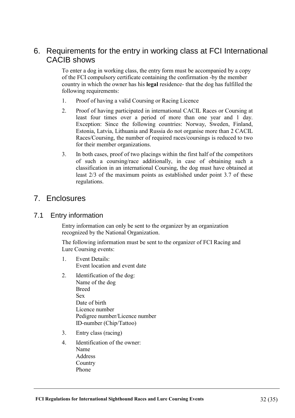# 6. Requirements for the entry in working class at FCI International CACIB shows

To enter a dog in working class, the entry form must be accompanied by a copy of the FCI compulsory certificate containing the confirmation -by the member country in which the owner has his **legal** residence- that the dog has fulfilled the following requirements:

- 1. Proof of having a valid Coursing or Racing Licence
- 2. Proof of having participated in international CACIL Races or Coursing at least four times over a period of more than one year and 1 day. Exception: Since the following countries: Norway, Sweden, Finland, Estonia, Latvia, Lithuania and Russia do not organise more than 2 CACIL Races/Coursing, the number of required races/coursings is reduced to two for their member organizations.
- 3. In both cases, proof of two placings within the first half of the competitors of such a coursing/race additionally, in case of obtaining such a classification in an international Coursing, the dog must have obtained at least 2/3 of the maximum points as established under point 3.7 of these regulations.

# 7. Enclosures

# 7.1 Entry information

Entry information can only be sent to the organizer by an organization recognized by the National Organization.

The following information must be sent to the organizer of FCI Racing and Lure Coursing events:

- 1. Event Details: Event location and event date
- 2. Identification of the dog: Name of the dog Breed Sex Date of birth Licence number Pedigree number/Licence number ID-number (Chip/Tattoo)
- 3. Entry class (racing)
- 4. Identification of the owner: Name Address **Country** Phone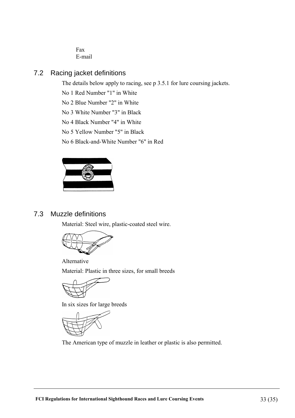Fax E-mail

# 7.2 Racing jacket definitions

The details below apply to racing, see p 3.5.1 for lure coursing jackets.

No 1 Red Number "1" in White

No 2 Blue Number "2" in White

No 3 White Number "3" in Black

No 4 Black Number "4" in White

No 5 Yellow Number "5" in Black

No 6 Black-and-White Number "6" in Red



# 7.3 Muzzle definitions

Material: Steel wire, plastic-coated steel wire.



Alternative Material: Plastic in three sizes, for small breeds



In six sizes for large breeds



The American type of muzzle in leather or plastic is also permitted.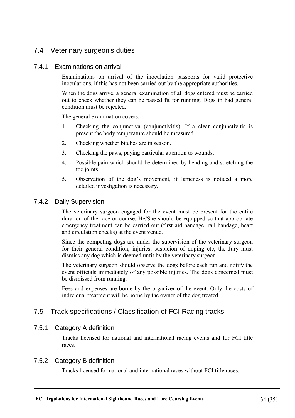# 7.4 Veterinary surgeon's duties

#### 7.4.1 Examinations on arrival

Examinations on arrival of the inoculation passports for valid protective inoculations, if this has not been carried out by the appropriate authorities.

When the dogs arrive, a general examination of all dogs entered must be carried out to check whether they can be passed fit for running. Dogs in bad general condition must be rejected.

The general examination covers:

- 1. Checking the conjunctiva (conjunctivitis). If a clear conjunctivitis is present the body temperature should be measured.
- 2. Checking whether bitches are in season.
- 3. Checking the paws, paying particular attention to wounds.
- 4. Possible pain which should be determined by bending and stretching the toe joints.
- 5. Observation of the dog's movement, if lameness is noticed a more detailed investigation is necessary.

#### 7.4.2 Daily Supervision

The veterinary surgeon engaged for the event must be present for the entire duration of the race or course. He/She should be equipped so that appropriate emergency treatment can be carried out (first aid bandage, rail bandage, heart and circulation checks) at the event venue.

Since the competing dogs are under the supervision of the veterinary surgeon for their general condition, injuries, suspicion of doping etc, the Jury must dismiss any dog which is deemed unfit by the veterinary surgeon.

The veterinary surgeon should observe the dogs before each run and notify the event officials immediately of any possible injuries. The dogs concerned must be dismissed from running.

Fees and expenses are borne by the organizer of the event. Only the costs of individual treatment will be borne by the owner of the dog treated.

# 7.5 Track specifications / Classification of FCI Racing tracks

#### 7.5.1 Category A definition

Tracks licensed for national and international racing events and for FCI title races.

#### 7.5.2 Category B definition

Tracks licensed for national and international races without FCI title races.